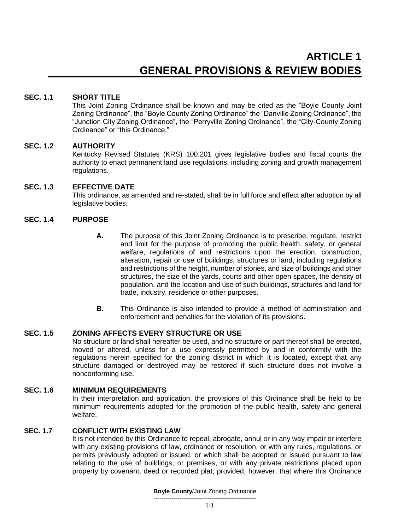# **SEC. 1.1 SHORT TITLE**

This Joint Zoning Ordinance shall be known and may be cited as the "Boyle County Joint Zoning Ordinance", the "Boyle County Zoning Ordinance" the "Danville Zoning Ordinance", the "Junction City Zoning Ordinance", the "Perryville Zoning Ordinance", the "City-County Zoning Ordinance" or "this Ordinance."

# **SEC. 1.2 AUTHORITY**

Kentucky Revised Statutes (KRS) 100.201 gives legislative bodies and fiscal courts the authority to enact permanent land use regulations, including zoning and growth management regulations.

### **SEC. 1.3 EFFECTIVE DATE**

This ordinance, as amended and re-stated, shall be in full force and effect after adoption by all legislative bodies.

# **SEC. 1.4 PURPOSE**

- **A.** The purpose of this Joint Zoning Ordinance is to prescribe, regulate, restrict and limit for the purpose of promoting the public health, safety, or general welfare, regulations of and restrictions upon the erection, construction, alteration, repair or use of buildings, structures or land, including regulations and restrictions of the height, number of stories, and size of buildings and other structures, the size of the yards, courts and other open spaces, the density of population, and the location and use of such buildings, structures and land for trade, industry, residence or other purposes.
- **B.** This Ordinance is also intended to provide a method of administration and enforcement and penalties for the violation of its provisions.

# **SEC. 1.5 ZONING AFFECTS EVERY STRUCTURE OR USE**

No structure or land shall hereafter be used, and no structure or part thereof shall be erected, moved or altered, unless for a use expressly permitted by and in conformity with the regulations herein specified for the zoning district in which it is located, except that any structure damaged or destroyed may be restored if such structure does not involve a nonconforming use.

# **SEC. 1.6 MINIMUM REQUIREMENTS**

In their interpretation and application, the provisions of this Ordinance shall be held to be minimum requirements adopted for the promotion of the public health, safety and general welfare.

# **SEC. 1.7 CONFLICT WITH EXISTING LAW**

It is not intended by this Ordinance to repeal, abrogate, annul or in any way impair or interfere with any existing provisions of law, ordinance or resolution, or with any rules, regulations, or permits previously adopted or issued, or which shall be adopted or issued pursuant to law relating to the use of buildings, or premises, or with any private restrictions placed upon property by covenant, deed or recorded plat; provided, however, that where this Ordinance

> **Boyle County**/Joint Zoning Ordinance ---------------------------------------------------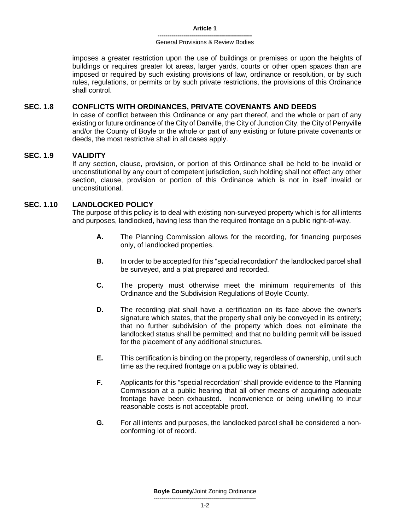imposes a greater restriction upon the use of buildings or premises or upon the heights of buildings or requires greater lot areas, larger yards, courts or other open spaces than are imposed or required by such existing provisions of law, ordinance or resolution, or by such rules, regulations, or permits or by such private restrictions, the provisions of this Ordinance shall control.

# **SEC. 1.8 CONFLICTS WITH ORDINANCES, PRIVATE COVENANTS AND DEEDS**

In case of conflict between this Ordinance or any part thereof, and the whole or part of any existing or future ordinance of the City of Danville, the City of Junction City, the City of Perryville and/or the County of Boyle or the whole or part of any existing or future private covenants or deeds, the most restrictive shall in all cases apply.

# **SEC. 1.9 VALIDITY**

If any section, clause, provision, or portion of this Ordinance shall be held to be invalid or unconstitutional by any court of competent jurisdiction, such holding shall not effect any other section, clause, provision or portion of this Ordinance which is not in itself invalid or unconstitutional.

# **SEC. 1.10 LANDLOCKED POLICY**

The purpose of this policy is to deal with existing non-surveyed property which is for all intents and purposes, landlocked, having less than the required frontage on a public right-of-way.

- **A.** The Planning Commission allows for the recording, for financing purposes only, of landlocked properties.
- **B.** In order to be accepted for this "special recordation" the landlocked parcel shall be surveyed, and a plat prepared and recorded.
- **C.** The property must otherwise meet the minimum requirements of this Ordinance and the Subdivision Regulations of Boyle County.
- **D.** The recording plat shall have a certification on its face above the owner's signature which states, that the property shall only be conveyed in its entirety; that no further subdivision of the property which does not eliminate the landlocked status shall be permitted; and that no building permit will be issued for the placement of any additional structures.
- **E.** This certification is binding on the property, regardless of ownership, until such time as the required frontage on a public way is obtained.
- **F.** Applicants for this "special recordation" shall provide evidence to the Planning Commission at a public hearing that all other means of acquiring adequate frontage have been exhausted. Inconvenience or being unwilling to incur reasonable costs is not acceptable proof.
- **G.** For all intents and purposes, the landlocked parcel shall be considered a nonconforming lot of record.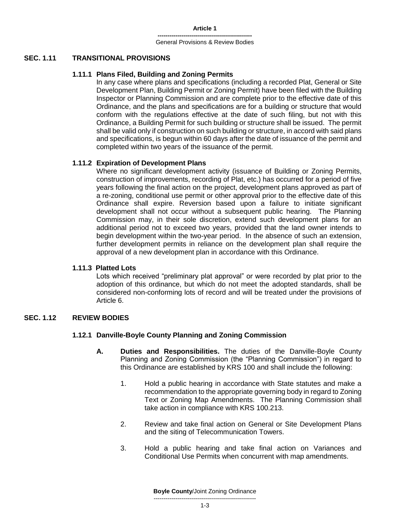#### **SEC. 1.11 TRANSITIONAL PROVISIONS**

#### **1.11.1 Plans Filed, Building and Zoning Permits**

In any case where plans and specifications (including a recorded Plat, General or Site Development Plan, Building Permit or Zoning Permit) have been filed with the Building Inspector or Planning Commission and are complete prior to the effective date of this Ordinance, and the plans and specifications are for a building or structure that would conform with the regulations effective at the date of such filing, but not with this Ordinance, a Building Permit for such building or structure shall be issued. The permit shall be valid only if construction on such building or structure, in accord with said plans and specifications, is begun within 60 days after the date of issuance of the permit and completed within two years of the issuance of the permit.

#### **1.11.2 Expiration of Development Plans**

Where no significant development activity (issuance of Building or Zoning Permits, construction of improvements, recording of Plat, etc.) has occurred for a period of five years following the final action on the project, development plans approved as part of a re-zoning, conditional use permit or other approval prior to the effective date of this Ordinance shall expire. Reversion based upon a failure to initiate significant development shall not occur without a subsequent public hearing. The Planning Commission may, in their sole discretion, extend such development plans for an additional period not to exceed two years, provided that the land owner intends to begin development within the two-year period. In the absence of such an extension, further development permits in reliance on the development plan shall require the approval of a new development plan in accordance with this Ordinance.

#### **1.11.3 Platted Lots**

Lots which received "preliminary plat approval" or were recorded by plat prior to the adoption of this ordinance, but which do not meet the adopted standards, shall be considered non-conforming lots of record and will be treated under the provisions of Article 6.

# **SEC. 1.12 REVIEW BODIES**

### **1.12.1 Danville-Boyle County Planning and Zoning Commission**

- **A. Duties and Responsibilities.** The duties of the Danville-Boyle County Planning and Zoning Commission (the "Planning Commission") in regard to this Ordinance are established by KRS 100 and shall include the following:
	- 1. Hold a public hearing in accordance with State statutes and make a recommendation to the appropriate governing body in regard to Zoning Text or Zoning Map Amendments. The Planning Commission shall take action in compliance with KRS 100.213.
	- 2. Review and take final action on General or Site Development Plans and the siting of Telecommunication Towers.
	- 3. Hold a public hearing and take final action on Variances and Conditional Use Permits when concurrent with map amendments.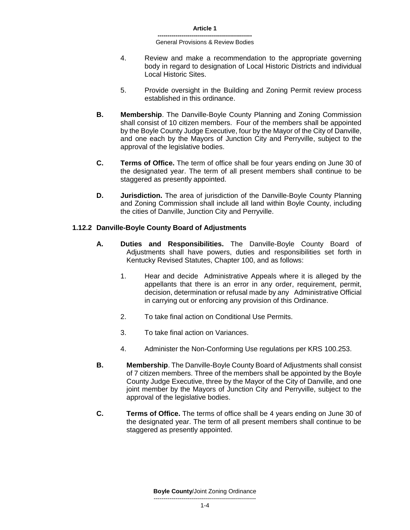- 4. Review and make a recommendation to the appropriate governing body in regard to designation of Local Historic Districts and individual Local Historic Sites.
- 5. Provide oversight in the Building and Zoning Permit review process established in this ordinance.
- **B. Membership**. The Danville-Boyle County Planning and Zoning Commission shall consist of 10 citizen members. Four of the members shall be appointed by the Boyle County Judge Executive, four by the Mayor of the City of Danville, and one each by the Mayors of Junction City and Perryville, subject to the approval of the legislative bodies.
- **C. Terms of Office.** The term of office shall be four years ending on June 30 of the designated year. The term of all present members shall continue to be staggered as presently appointed.
- **D. Jurisdiction.** The area of jurisdiction of the Danville-Boyle County Planning and Zoning Commission shall include all land within Boyle County, including the cities of Danville, Junction City and Perryville.

# **1.12.2 Danville-Boyle County Board of Adjustments**

- **A. Duties and Responsibilities.** The Danville-Boyle County Board of Adjustments shall have powers, duties and responsibilities set forth in Kentucky Revised Statutes, Chapter 100, and as follows:
	- 1. Hear and decide Administrative Appeals where it is alleged by the appellants that there is an error in any order, requirement, permit, decision, determination or refusal made by any Administrative Official in carrying out or enforcing any provision of this Ordinance.
	- 2. To take final action on Conditional Use Permits.
	- 3. To take final action on Variances.
	- 4. Administer the Non-Conforming Use regulations per KRS 100.253.
- **B. Membership**. The Danville-Boyle County Board of Adjustments shall consist of 7 citizen members. Three of the members shall be appointed by the Boyle County Judge Executive, three by the Mayor of the City of Danville, and one joint member by the Mayors of Junction City and Perryville, subject to the approval of the legislative bodies.
- **C. Terms of Office.** The terms of office shall be 4 years ending on June 30 of the designated year. The term of all present members shall continue to be staggered as presently appointed.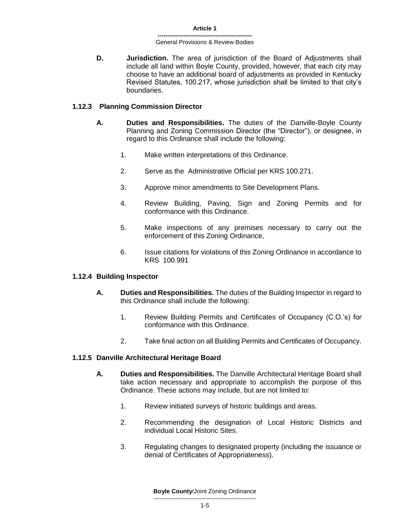**D. Jurisdiction.** The area of jurisdiction of the Board of Adjustments shall include all land within Boyle County, provided, however, that each city may choose to have an additional board of adjustments as provided in Kentucky Revised Statutes, 100.217, whose jurisdiction shall be limited to that city's boundaries.

### **1.12.3 Planning Commission Director**

- **A. Duties and Responsibilities.** The duties of the Danville-Boyle County Planning and Zoning Commission Director (the "Director"), or designee, in regard to this Ordinance shall include the following:
	- 1. Make written interpretations of this Ordinance.
	- 2. Serve as the Administrative Official per KRS 100.271.
	- 3. Approve minor amendments to Site Development Plans.
	- 4. Review Building, Paving, Sign and Zoning Permits and for conformance with this Ordinance.
	- 5. Make inspections of any premises necessary to carry out the enforcement of this Zoning Ordinance,
	- 6. Issue citations for violations of this Zoning Ordinance in accordance to KRS 100.991

### **1.12.4 Building Inspector**

- **A. Duties and Responsibilities.** The duties of the Building Inspector in regard to this Ordinance shall include the following:
	- 1. Review Building Permits and Certificates of Occupancy (C.O.'s) for conformance with this Ordinance.
	- 2. Take final action on all Building Permits and Certificates of Occupancy.

### **1.12.5 Danville Architectural Heritage Board**

- **A. Duties and Responsibilities.** The Danville Architectural Heritage Board shall take action necessary and appropriate to accomplish the purpose of this Ordinance. These actions may include, but are not limited to:
	- 1. Review initiated surveys of historic buildings and areas.
	- 2. Recommending the designation of Local Historic Districts and individual Local Historic Sites.
	- 3. Regulating changes to designated property (including the issuance or denial of Certificates of Appropriateness).